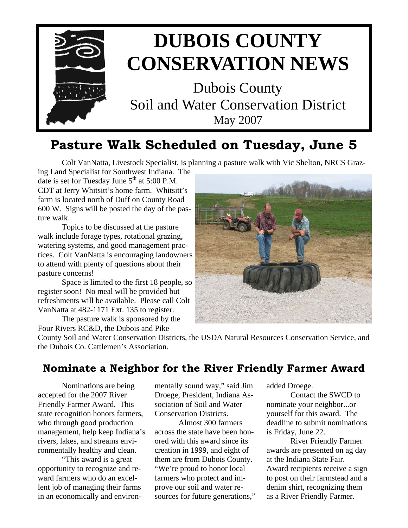

# **Pasture Walk Scheduled on Tuesday, June 5**

Colt VanNatta, Livestock Specialist, is planning a pasture walk with Vic Shelton, NRCS Graz-

ing Land Specialist for Southwest Indiana. The date is set for Tuesday June  $5<sup>th</sup>$  at  $5:00$  P.M. CDT at Jerry Whitsitt's home farm. Whitsitt's farm is located north of Duff on County Road 600 W. Signs will be posted the day of the pasture walk.

 Topics to be discussed at the pasture walk include forage types, rotational grazing, watering systems, and good management practices. Colt VanNatta is encouraging landowners to attend with plenty of questions about their pasture concerns!

 Space is limited to the first 18 people, so register soon! No meal will be provided but refreshments will be available. Please call Colt VanNatta at 482-1171 Ext. 135 to register.

 The pasture walk is sponsored by the Four Rivers RC&D, the Dubois and Pike



County Soil and Water Conservation Districts, the USDA Natural Resources Conservation Service, and the Dubois Co. Cattlemen's Association.

## **Nominate a Neighbor for the River Friendly Farmer Award**

Nominations are being accepted for the 2007 River Friendly Farmer Award. This state recognition honors farmers, who through good production management, help keep Indiana's rivers, lakes, and streams environmentally healthy and clean.

 "This award is a great opportunity to recognize and reward farmers who do an excellent job of managing their farms in an economically and environmentally sound way," said Jim Droege, President, Indiana Association of Soil and Water Conservation Districts.

 Almost 300 farmers across the state have been honored with this award since its creation in 1999, and eight of them are from Dubois County. "We're proud to honor local farmers who protect and improve our soil and water resources for future generations," added Droege.

 Contact the SWCD to nominate your neighbor...or yourself for this award. The deadline to submit nominations is Friday, June 22.

 River Friendly Farmer awards are presented on ag day at the Indiana State Fair. Award recipients receive a sign to post on their farmstead and a denim shirt, recognizing them as a River Friendly Farmer.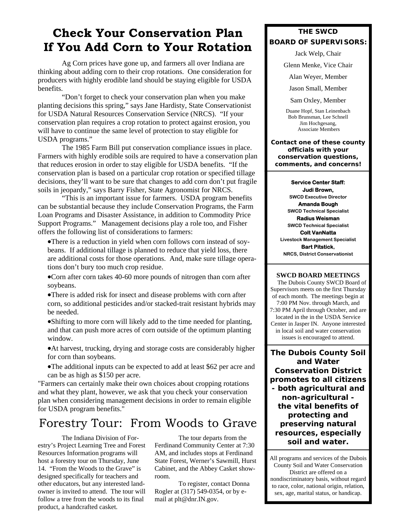# **Check Your Conservation Plan If You Add Corn to Your Rotation**

 Ag Corn prices have gone up, and farmers all over Indiana are thinking about adding corn to their crop rotations. One consideration for producers with highly erodible land should be staying eligible for USDA benefits.

 "Don't forget to check your conservation plan when you make planting decisions this spring," says Jane Hardisty, State Conservationist for USDA Natural Resources Conservation Service (NRCS). "If your conservation plan requires a crop rotation to protect against erosion, you will have to continue the same level of protection to stay eligible for USDA programs."

 The 1985 Farm Bill put conservation compliance issues in place. Farmers with highly erodible soils are required to have a conservation plan that reduces erosion in order to stay eligible for USDA benefits. "If the conservation plan is based on a particular crop rotation or specified tillage decisions, they'll want to be sure that changes to add corn don't put fragile soils in jeopardy," says Barry Fisher, State Agronomist for NRCS.

 "This is an important issue for farmers. USDA program benefits can be substantial because they include Conservation Programs, the Farm Loan Programs and Disaster Assistance, in addition to Commodity Price Support Programs." Management decisions play a role too, and Fisher offers the following list of considerations to farmers:

•There is a reduction in yield when corn follows corn instead of soybeans. If additional tillage is planned to reduce that yield loss, there are additional costs for those operations. And, make sure tillage operations don't bury too much crop residue.

•Corn after corn takes 40-60 more pounds of nitrogen than corn after soybeans.

•There is added risk for insect and disease problems with corn after corn, so additional pesticides and/or stacked-trait resistant hybrids may be needed.

•Shifting to more corn will likely add to the time needed for planting, and that can push more acres of corn outside of the optimum planting window.

•At harvest, trucking, drying and storage costs are considerably higher for corn than soybeans.

•The additional inputs can be expected to add at least \$62 per acre and can be as high as \$150 per acre.

"Farmers can certainly make their own choices about cropping rotations and what they plant, however, we ask that you check your conservation plan when considering management decisions in order to remain eligible for USDA program benefits."

# Forestry Tour: From Woods to Grave

 The Indiana Division of Forestry's Project Learning Tree and Forest Resources Information programs will host a forestry tour on Thursday, June 14. "From the Woods to the Grave" is designed specifically for teachers and other educators, but any interested landowner is invited to attend. The tour will follow a tree from the woods to its final product, a handcrafted casket.

 The tour departs from the Ferdinand Community Center at 7:30 AM, and includes stops at Ferdinand State Forest, Werner's Sawmill, Hurst Cabinet, and the Abbey Casket showroom.

 To register, contact Donna Rogler at (317) 549-0354, or by email at plt@dnr.IN.gov.

### **THE SWCD BOARD OF SUPERVISORS:**

Jack Welp, Chair

Glenn Menke, Vice Chair

Alan Weyer, Member

Jason Small, Member

Sam Oxley, Member

Duane Hopf, Stan Leinenbach Bob Brunsman, Lee Schnell Jim Hochgesang, Associate Members

**Contact one of these county officials with your conservation questions, comments, and concerns!** 

#### **Service Center Staff:**

**Judi Brown, SWCD Executive Director Amanda Bough SWCD Technical Specialist Radius Weisman SWCD Technical Specialist Colt VanNatta Livestock Management Specialist Bart Pitstick, NRCS, District Conservationist** 

#### **SWCD BOARD MEETINGS**

 The Dubois County SWCD Board of Supervisors meets on the first Thursday of each month. The meetings begin at 7:00 PM Nov. through March, and 7:30 PM April through October, and are located in the in the USDA Service Center in Jasper IN. Anyone interested in local soil and water conservation issues is encouraged to attend.

**The Dubois County Soil and Water Conservation District promotes to all citizens - both agricultural and non-agricultural the vital benefits of protecting and preserving natural resources, especially soil and water.** 

All programs and services of the Dubois County Soil and Water Conservation District are offered on a nondiscriminatory basis, without regard to race, color, national origin, relation, sex, age, marital status, or handicap.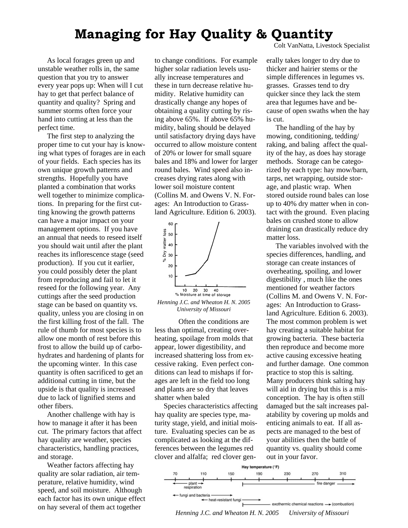# **Managing for Hay Quality & Quantity**

 As local forages green up and unstable weather rolls in, the same question that you try to answer every year pops up: When will I cut hay to get that perfect balance of quantity and quality? Spring and summer storms often force your hand into cutting at less than the perfect time.

 The first step to analyzing the proper time to cut your hay is knowing what types of forages are in each of your fields. Each species has its own unique growth patterns and strengths. Hopefully you have planted a combination that works well together to minimize complications. In preparing for the first cutting knowing the growth patterns can have a major impact on your management options. If you have an annual that needs to reseed itself you should wait until after the plant reaches its inflorescence stage (seed production). If you cut it earlier, you could possibly deter the plant from reproducing and fail to let it reseed for the following year. Any cuttings after the seed production stage can be based on quantity vs. quality, unless you are closing in on the first killing frost of the fall. The rule of thumb for most species is to allow one month of rest before this frost to allow the build up of carbohydrates and hardening of plants for the upcoming winter. In this case quantity is often sacrificed to get an additional cutting in time, but the upside is that quality is increased due to lack of lignified stems and other fibers.

 Another challenge with hay is how to manage it after it has been cut. The primary factors that affect hay quality are weather, species characteristics, handling practices, and storage.

 Weather factors affecting hay quality are solar radiation, air temperature, relative humidity, wind speed, and soil moisture. Although each factor has its own unique effect on hay several of them act together

to change conditions. For example higher solar radiation levels usually increase temperatures and these in turn decrease relative humidity. Relative humidity can drastically change any hopes of obtaining a quality cutting by rising above 65%. If above 65% humidity, baling should be delayed until satisfactory drying days have occurred to allow moisture content of 20% or lower for small square bales and 18% and lower for larger round bales. Wind speed also increases drying rates along with lower soil moisture content (Collins M. and Owens V. N. Forages: An Introduction to Grassland Agriculture. Edition 6. 2003).



*University of Missouri*

 Often the conditions are less than optimal, creating overheating, spoilage from molds that appear, lower digestibility, and increased shattering loss from excessive raking. Even perfect conditions can lead to mishaps if forages are left in the field too long and plants are so dry that leaves shatter when baled

 Species characteristics affecting hay quality are species type, maturity stage, yield, and initial moisture. Evaluating species can be as complicated as looking at the differences between the legumes red clover and alfalfa; red clover genColt VanNatta, Livestock Specialist

erally takes longer to dry due to thicker and hairier stems or the simple differences in legumes vs. grasses. Grasses tend to dry quicker since they lack the stem area that legumes have and because of open swaths when the hay is cut.

 The handling of the hay by mowing, conditioning, tedding/ raking, and baling affect the quality of the hay, as does hay storage methods. Storage can be categorized by each type: hay mow/barn, tarps, net wrapping, outside storage, and plastic wrap. When stored outside round bales can lose up to 40% dry matter when in contact with the ground. Even placing bales on crushed stone to allow draining can drastically reduce dry matter loss.

 The variables involved with the species differences, handling, and storage can create instances of overheating, spoiling, and lower digestibility , much like the ones mentioned for weather factors (Collins M. and Owens V. N. Forages: An Introduction to Grassland Agriculture. Edition 6. 2003). The most common problem is wet hay creating a suitable habitat for growing bacteria. These bacteria then reproduce and become more active causing excessive heating and further damage. One common practice to stop this is salting. Many producers think salting hay will aid in drying but this is a misconception. The hay is often still damaged but the salt increases palatability by covering up molds and enticing animals to eat. If all aspects are managed to the best of your abilities then the battle of quantity vs. quality should come out in your favor.



*Henning J.C. and Wheaton H. N. 2005 University of Missouri*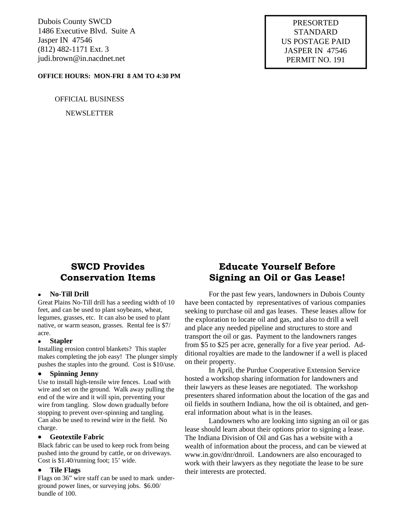Dubois County SWCD 1486 Executive Blvd. Suite A Jasper IN 47546 (812) 482-1171 Ext. 3 judi.brown@in.nacdnet.net

#### **OFFICE HOURS: MON-FRI 8 AM TO 4:30 PM**

OFFICIAL BUSINESS

NEWSLETTER

PRESORTED STANDARD US POSTAGE PAID JASPER IN 47546 PERMIT NO. 191

## **SWCD Provides Conservation Items**

#### • **No-Till Drill**

Great Plains No-Till drill has a seeding width of 10 feet, and can be used to plant soybeans, wheat, legumes, grasses, etc. It can also be used to plant native, or warm season, grasses. Rental fee is \$7/ acre.

#### • **Stapler**

Installing erosion control blankets? This stapler makes completing the job easy! The plunger simply pushes the staples into the ground. Cost is \$10/use.

#### • **Spinning Jenny**

Use to install high-tensile wire fences. Load with wire and set on the ground. Walk away pulling the end of the wire and it will spin, preventing your wire from tangling. Slow down gradually before stopping to prevent over-spinning and tangling. Can also be used to rewind wire in the field. No charge.

#### • **Geotextile Fabric**

Black fabric can be used to keep rock from being pushed into the ground by cattle, or on driveways. Cost is \$1.40/running foot; 15' wide.

#### • **Tile Flags**

Flags on 36" wire staff can be used to mark underground power lines, or surveying jobs. \$6.00/ bundle of 100.

## **Educate Yourself Before Signing an Oil or Gas Lease!**

 For the past few years, landowners in Dubois County have been contacted by representatives of various companies seeking to purchase oil and gas leases. These leases allow for the exploration to locate oil and gas, and also to drill a well and place any needed pipeline and structures to store and transport the oil or gas. Payment to the landowners ranges from \$5 to \$25 per acre, generally for a five year period. Additional royalties are made to the landowner if a well is placed on their property.

 In April, the Purdue Cooperative Extension Service hosted a workshop sharing information for landowners and their lawyers as these leases are negotiated. The workshop presenters shared information about the location of the gas and oil fields in southern Indiana, how the oil is obtained, and general information about what is in the leases.

 Landowners who are looking into signing an oil or gas lease should learn about their options prior to signing a lease. The Indiana Division of Oil and Gas has a website with a wealth of information about the process, and can be viewed at www.in.gov/dnr/dnroil. Landowners are also encouraged to work with their lawyers as they negotiate the lease to be sure their interests are protected.